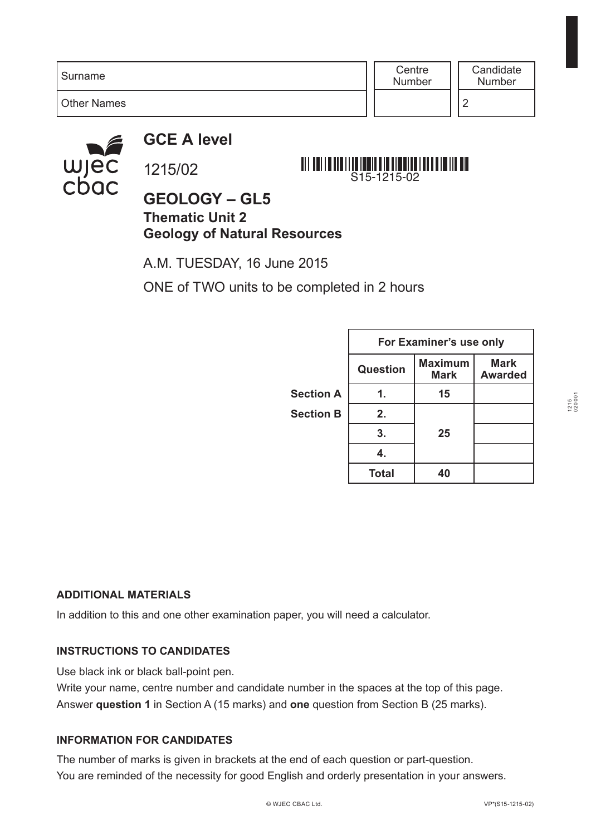Surname

**Centre** Number

**Candidate** Number

wjec<br>cbac

Other Names

# **GCE A level**

1215/02



**GEOLOGY – GL5 Thematic Unit 2 Geology of Natural Resources**

A.M. TUESDAY, 16 June 2015

ONE of TWO units to be completed in 2 hours

|                  | For Examiner's use only |                               |                               |
|------------------|-------------------------|-------------------------------|-------------------------------|
|                  | <b>Question</b>         | <b>Maximum</b><br><b>Mark</b> | <b>Mark</b><br><b>Awarded</b> |
| <b>Section A</b> | 1.                      | 15                            |                               |
| <b>Section B</b> | 2.                      |                               |                               |
|                  | 3.                      | 25                            |                               |
|                  | 4.                      |                               |                               |
|                  | <b>Total</b>            | 40                            |                               |

## **ADDITIONAL MATERIALS**

In addition to this and one other examination paper, you will need a calculator.

## **INSTRUCTIONS TO CANDIDATES**

Use black ink or black ball-point pen.

Write your name, centre number and candidate number in the spaces at the top of this page. Answer **question 1** in Section A (15 marks) and **one** question from Section B (25 marks).

## **INFORMATION FOR CANDIDATES**

The number of marks is given in brackets at the end of each question or part-question. You are reminded of the necessity for good English and orderly presentation in your answers. 1215 020001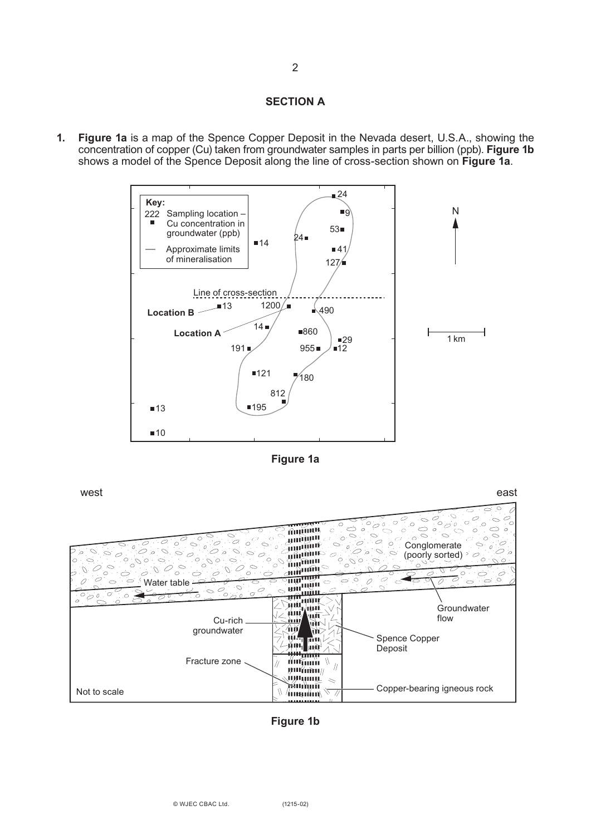#### **SECTION A**

**1. Figure 1a** is a map of the Spence Copper Deposit in the Nevada desert, U.S.A., showing the concentration of copper (Cu) taken from groundwater samples in parts per billion (ppb). **Figure 1b** shows a model of the Spence Deposit along the line of cross-section shown on **Figure 1a**.



**Figure 1a**



**Figure 1b**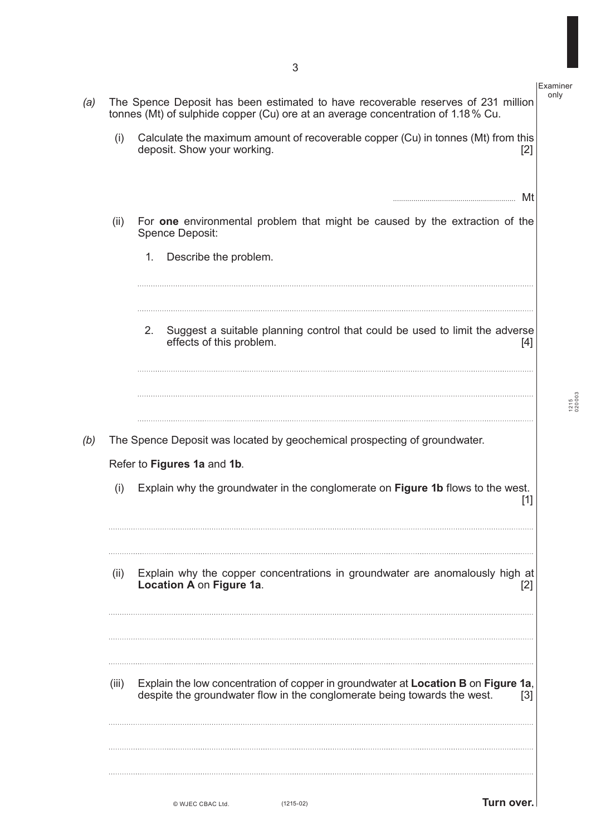| (a) |       | The Spence Deposit has been estimated to have recoverable reserves of 231 million<br>tonnes (Mt) of sulphide copper (Cu) ore at an average concentration of 1.18 % Cu.  | Examiner<br>only |
|-----|-------|-------------------------------------------------------------------------------------------------------------------------------------------------------------------------|------------------|
|     | (i)   | Calculate the maximum amount of recoverable copper (Cu) in tonnes (Mt) from this<br>deposit. Show your working.<br>$[2]$                                                |                  |
|     |       | Mt                                                                                                                                                                      |                  |
|     | (ii)  | For one environmental problem that might be caused by the extraction of the<br>Spence Deposit:                                                                          |                  |
|     |       | Describe the problem.<br>1.                                                                                                                                             |                  |
|     |       |                                                                                                                                                                         |                  |
|     |       | 2.<br>Suggest a suitable planning control that could be used to limit the adverse<br>effects of this problem.<br>$[4]$                                                  |                  |
|     |       |                                                                                                                                                                         |                  |
|     |       |                                                                                                                                                                         |                  |
| (b) |       | The Spence Deposit was located by geochemical prospecting of groundwater.<br>Refer to Figures 1a and 1b.                                                                |                  |
|     | (i)   | Explain why the groundwater in the conglomerate on Figure 1b flows to the west.<br>$[1]$                                                                                |                  |
|     | (ii)  | Explain why the copper concentrations in groundwater are anomalously high at<br>Location A on Figure 1a.<br>[2]                                                         |                  |
|     | (iii) | Explain the low concentration of copper in groundwater at Location B on Figure 1a,<br>despite the groundwater flow in the conglomerate being towards the west.<br>$[3]$ |                  |
|     |       |                                                                                                                                                                         |                  |

(1215-02) **Turn over.**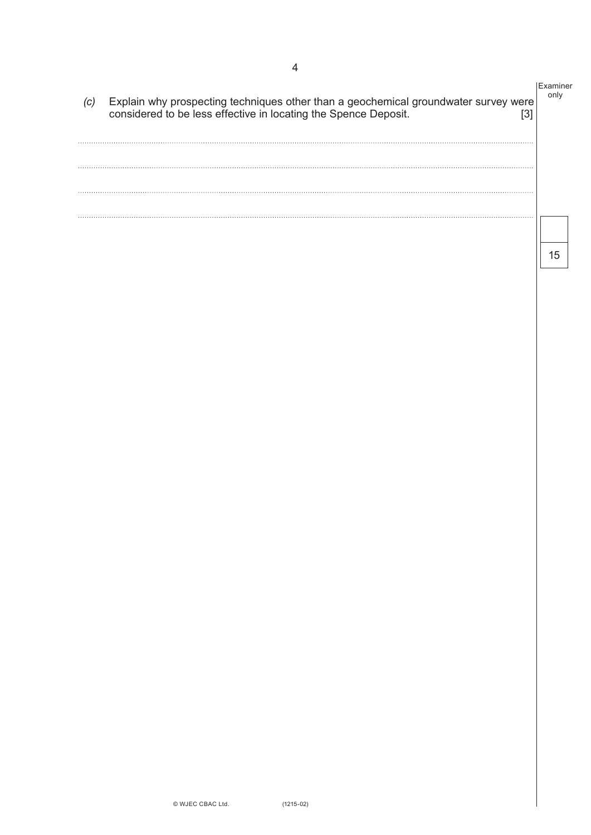| (C) | Explain why prospecting techniques other than a geochemical groundwater survey were considered to be less effective in locating the Spence Deposit. [3] |  |
|-----|---------------------------------------------------------------------------------------------------------------------------------------------------------|--|
|     |                                                                                                                                                         |  |
|     |                                                                                                                                                         |  |
|     |                                                                                                                                                         |  |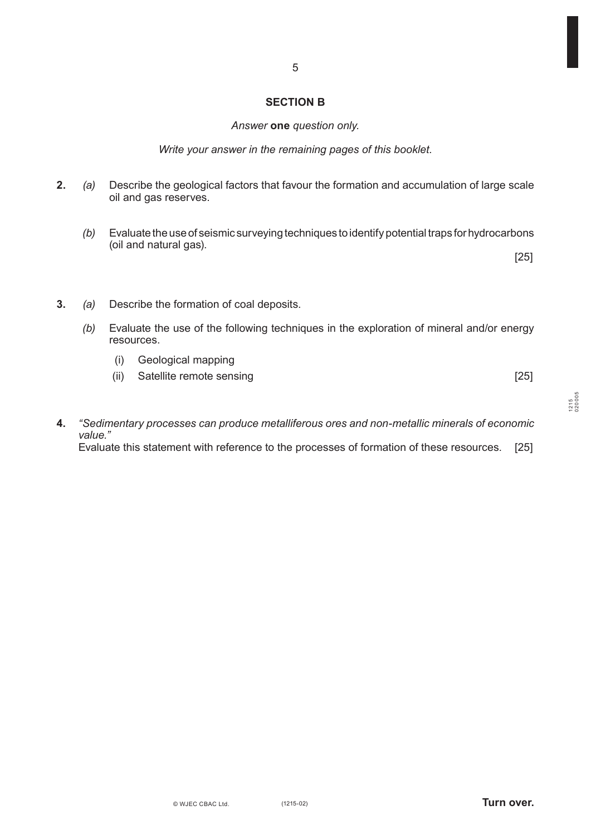#### **SECTION B**

5

#### *Answer* **one** *question only.*

#### *Write your answer in the remaining pages of this booklet.*

- **2.** *(a)* Describe the geological factors that favour the formation and accumulation of large scale oil and gas reserves.
	- *(b)* Evaluate the use of seismic surveying techniques to identify potential traps for hydrocarbons (oil and natural gas).

[25]

- **3.** *(a)* Describe the formation of coal deposits.
	- *(b)* Evaluate the use of the following techniques in the exploration of mineral and/or energy resources.
		- (i) Geological mapping
		- (ii) Satellite remote sensing [25]

**4.** *"Sedimentary processes can produce metalliferous ores and non-metallic minerals of economic value."* Evaluate this statement with reference to the processes of formation of these resources. [25]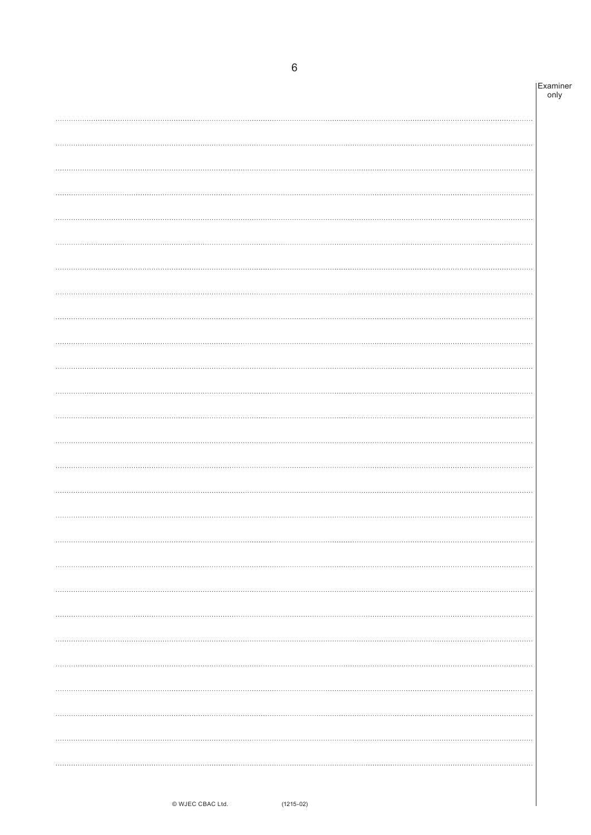| © WJEC CBAC Ltd. |  |
|------------------|--|
|                  |  |

|  | $1215 - 02$ |
|--|-------------|
|--|-------------|

|   | Examiner |
|---|----------|
|   | only     |
|   |          |
|   |          |
|   |          |
|   |          |
|   |          |
|   |          |
|   |          |
|   |          |
|   |          |
|   |          |
|   |          |
|   |          |
|   |          |
|   |          |
|   |          |
|   |          |
|   |          |
|   |          |
|   |          |
|   |          |
|   |          |
|   |          |
|   |          |
|   |          |
|   |          |
|   |          |
|   |          |
|   |          |
|   |          |
| . |          |
|   |          |
| . |          |
|   |          |
|   |          |
|   |          |
|   |          |
|   |          |
| . |          |
|   |          |

 $\overline{\phantom{a}}$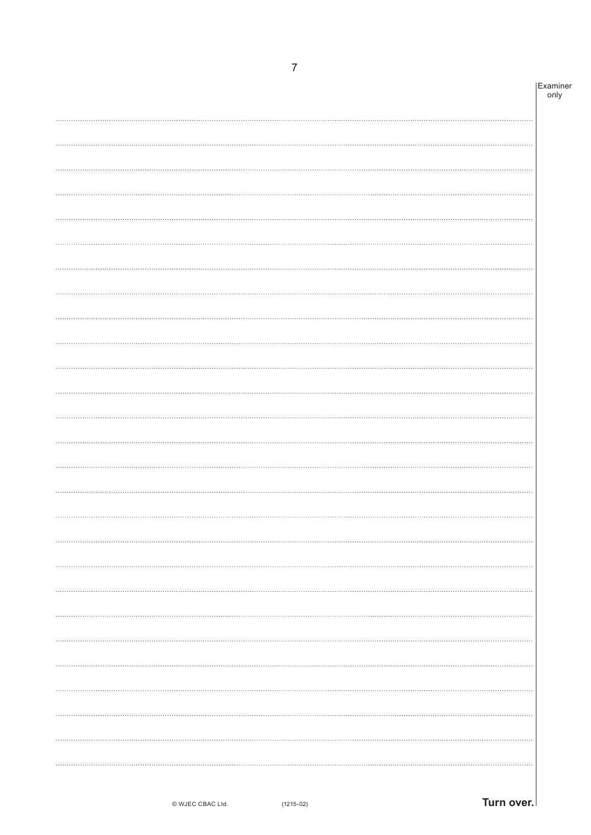|   | Examiner<br>only |
|---|------------------|
|   |                  |
|   |                  |
|   |                  |
|   |                  |
|   |                  |
|   |                  |
|   |                  |
|   |                  |
|   |                  |
|   |                  |
|   |                  |
|   |                  |
|   |                  |
|   |                  |
|   |                  |
|   |                  |
|   |                  |
|   |                  |
|   |                  |
|   |                  |
|   |                  |
|   |                  |
|   |                  |
| . |                  |
|   |                  |
|   |                  |

(1215-02)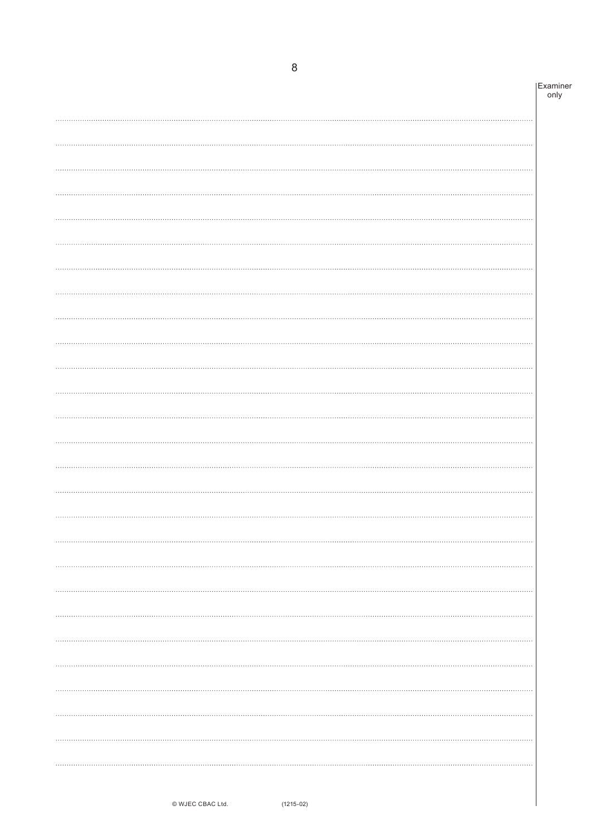| $(1215-02)$ |  |  |
|-------------|--|--|
|-------------|--|--|

Examiner only

 $\overline{\phantom{a}}$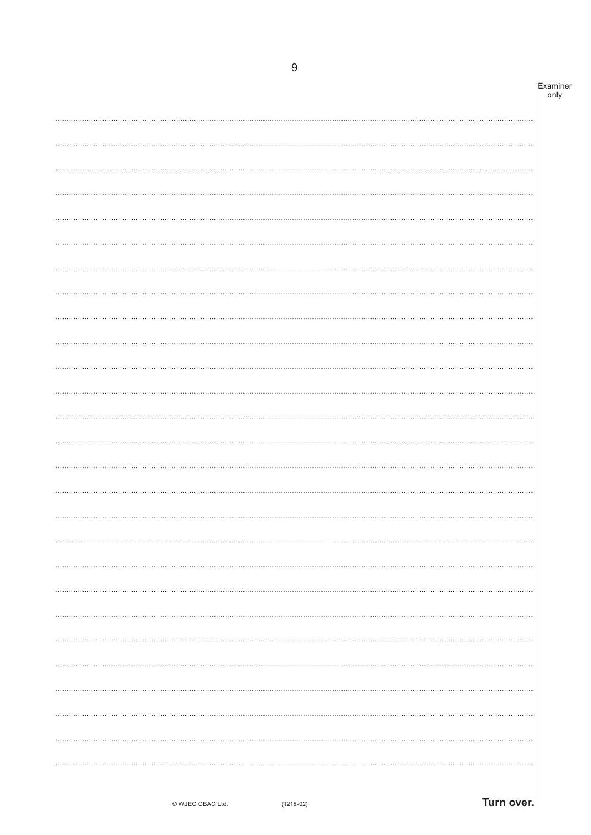|          | Examiner<br>only |
|----------|------------------|
|          |                  |
| $\cdots$ |                  |
|          |                  |
|          |                  |
|          |                  |
|          |                  |
|          |                  |
|          |                  |
|          |                  |
|          |                  |
|          |                  |
|          |                  |
|          |                  |
|          |                  |
|          |                  |
|          |                  |
|          |                  |
|          |                  |
|          |                  |
|          |                  |
|          |                  |
|          |                  |
|          |                  |
| .        |                  |
|          |                  |

(1215-02)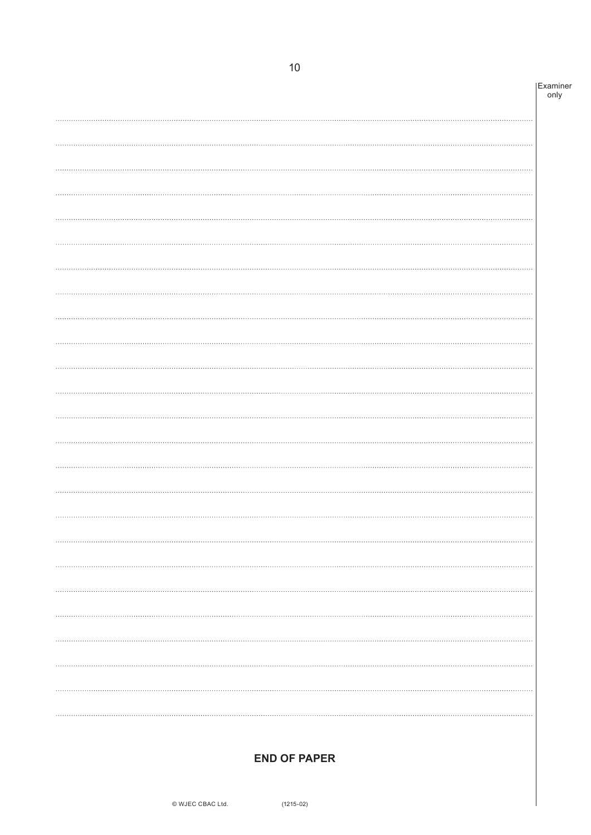|                     | Examiner<br>only |
|---------------------|------------------|
|                     |                  |
|                     |                  |
|                     |                  |
|                     |                  |
|                     |                  |
|                     |                  |
|                     |                  |
|                     |                  |
|                     |                  |
|                     |                  |
|                     |                  |
|                     |                  |
|                     |                  |
|                     |                  |
|                     |                  |
|                     |                  |
|                     |                  |
|                     |                  |
|                     |                  |
|                     |                  |
|                     |                  |
|                     |                  |
|                     |                  |
|                     |                  |
|                     |                  |
| <b>END OF PAPER</b> |                  |